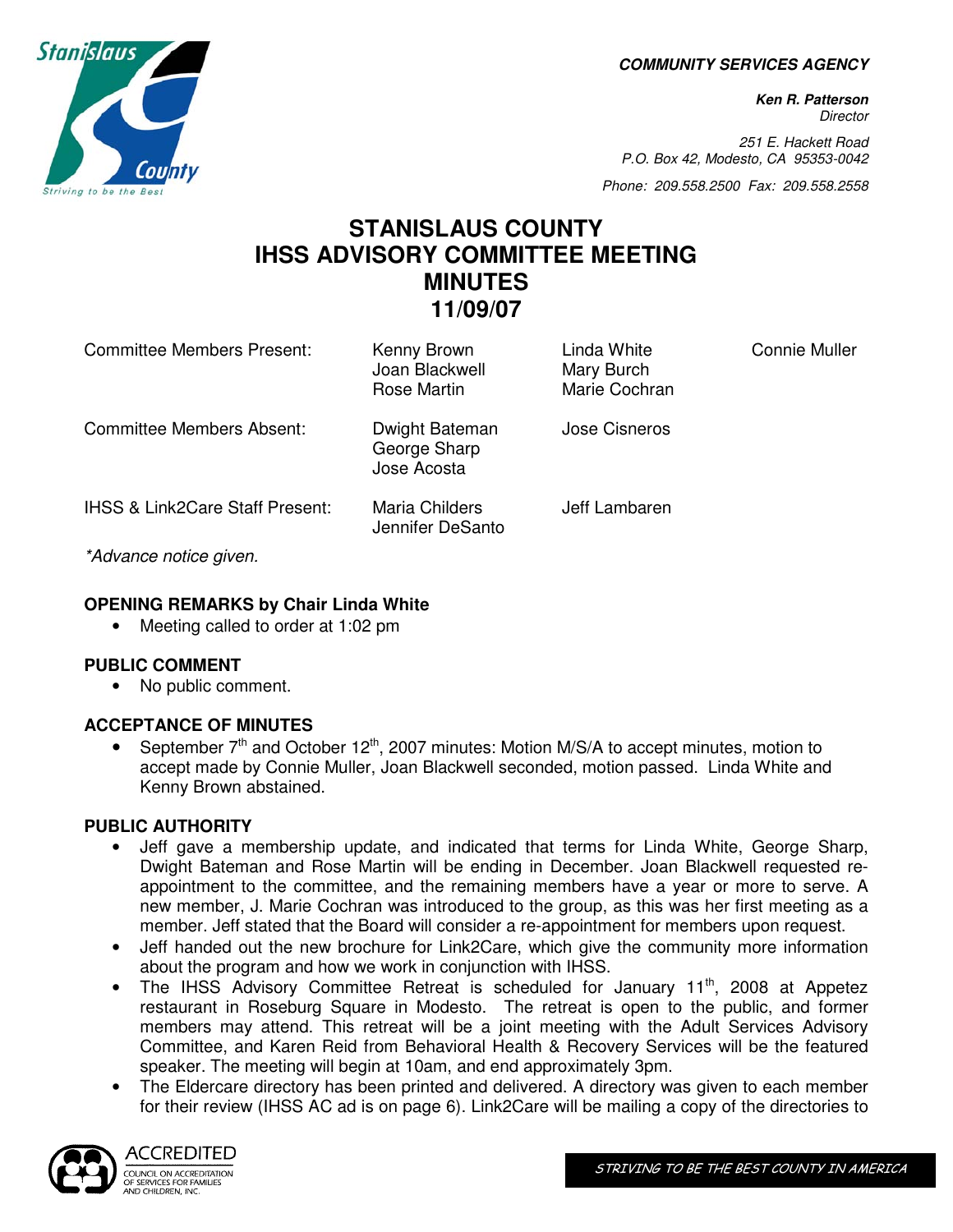**COMMUNITY SERVICES AGENCY** 

**Ken R. Patterson Director** 

251 E. Hackett Road P.O. Box 42, Modesto, CA 95353-0042

Phone: 209.558.2500 Fax: 209.558.2558

# **STANISLAUS COUNTY IHSS ADVISORY COMMITTEE MEETING MINUTES 11/09/07**

| Committee Members Present:                 | Kenny Brown<br>Joan Blackwell<br>Rose Martin  | Linda White<br>Mary Burch<br>Marie Cochran | Connie Muller |
|--------------------------------------------|-----------------------------------------------|--------------------------------------------|---------------|
| <b>Committee Members Absent:</b>           | Dwight Bateman<br>George Sharp<br>Jose Acosta | Jose Cisneros                              |               |
| <b>IHSS &amp; Link2Care Staff Present:</b> | Maria Childers<br>Jennifer DeSanto            | Jeff Lambaren                              |               |
| *Advance notice given.                     |                                               |                                            |               |

# **OPENING REMARKS by Chair Linda White**

• Meeting called to order at 1:02 pm

### **PUBLIC COMMENT**

• No public comment.

# **ACCEPTANCE OF MINUTES**

• September  $7<sup>th</sup>$  and October 12<sup>th</sup>, 2007 minutes: Motion M/S/A to accept minutes, motion to accept made by Connie Muller, Joan Blackwell seconded, motion passed. Linda White and Kenny Brown abstained.

# **PUBLIC AUTHORITY**

- Jeff gave a membership update, and indicated that terms for Linda White, George Sharp, Dwight Bateman and Rose Martin will be ending in December. Joan Blackwell requested reappointment to the committee, and the remaining members have a year or more to serve. A new member, J. Marie Cochran was introduced to the group, as this was her first meeting as a member. Jeff stated that the Board will consider a re-appointment for members upon request.
- Jeff handed out the new brochure for Link2Care, which give the community more information about the program and how we work in conjunction with IHSS.
- The IHSS Advisory Committee Retreat is scheduled for January 11<sup>th</sup>, 2008 at Appetez restaurant in Roseburg Square in Modesto. The retreat is open to the public, and former members may attend. This retreat will be a joint meeting with the Adult Services Advisory Committee, and Karen Reid from Behavioral Health & Recovery Services will be the featured speaker. The meeting will begin at 10am, and end approximately 3pm.
- The Eldercare directory has been printed and delivered. A directory was given to each member for their review (IHSS AC ad is on page 6). Link2Care will be mailing a copy of the directories to



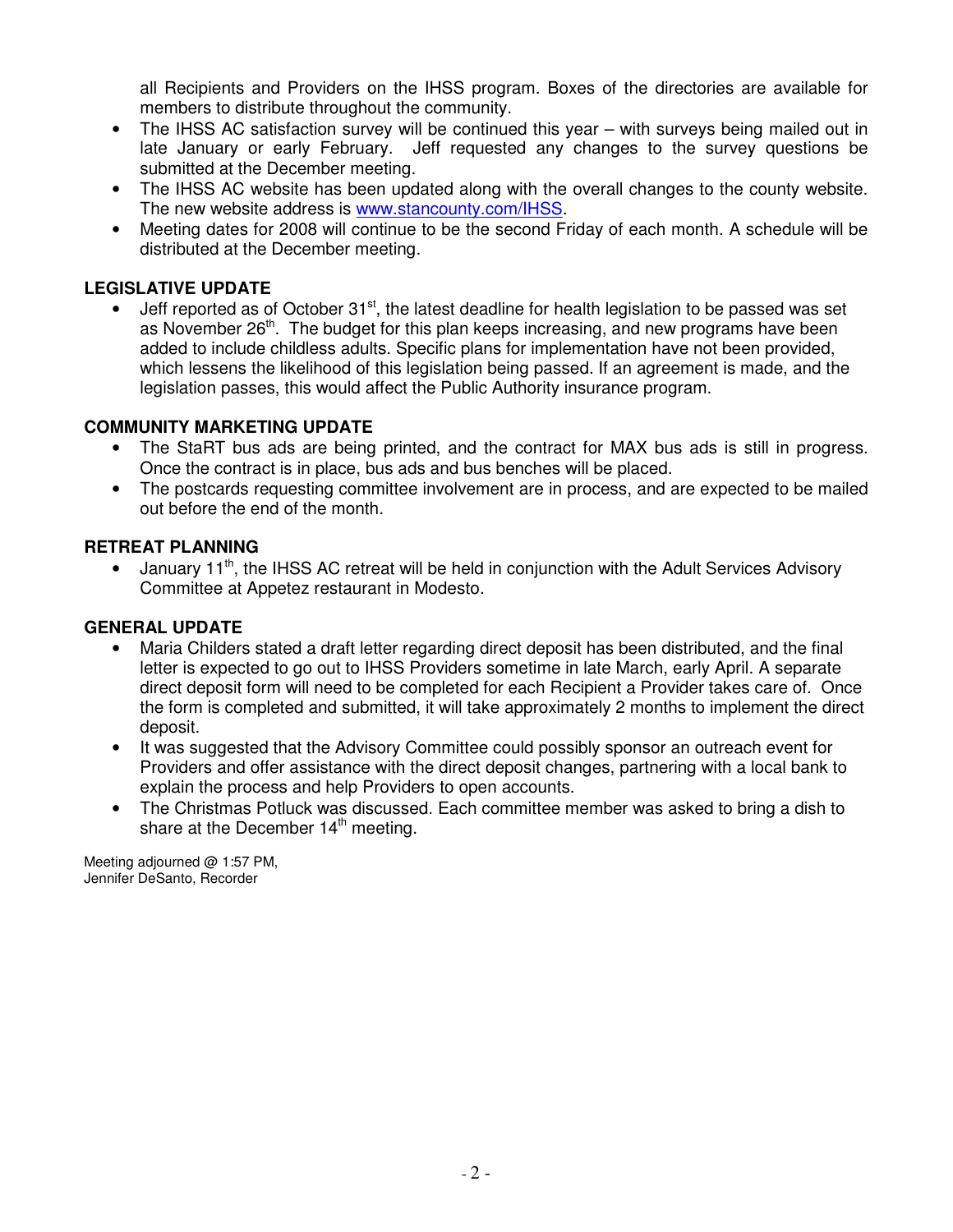all Recipients and Providers on the IHSS program. Boxes of the directories are available for members to distribute throughout the community.

- The IHSS AC satisfaction survey will be continued this year with surveys being mailed out in late January or early February. Jeff requested any changes to the survey questions be submitted at the December meeting.
- The IHSS AC website has been updated along with the overall changes to the county website. The new website address is www.stancounty.com/IHSS.
- Meeting dates for 2008 will continue to be the second Friday of each month. A schedule will be distributed at the December meeting.

## **LEGISLATIVE UPDATE**

Jeff reported as of October 31<sup>st</sup>, the latest deadline for health legislation to be passed was set as November 26<sup>th</sup>. The budget for this plan keeps increasing, and new programs have been added to include childless adults. Specific plans for implementation have not been provided, which lessens the likelihood of this legislation being passed. If an agreement is made, and the legislation passes, this would affect the Public Authority insurance program.

### **COMMUNITY MARKETING UPDATE**

- The StaRT bus ads are being printed, and the contract for MAX bus ads is still in progress. Once the contract is in place, bus ads and bus benches will be placed.
- The postcards requesting committee involvement are in process, and are expected to be mailed out before the end of the month.

#### **RETREAT PLANNING**

• January 11<sup>th</sup>, the IHSS AC retreat will be held in conjunction with the Adult Services Advisory Committee at Appetez restaurant in Modesto.

### **GENERAL UPDATE**

- Maria Childers stated a draft letter regarding direct deposit has been distributed, and the final letter is expected to go out to IHSS Providers sometime in late March, early April. A separate direct deposit form will need to be completed for each Recipient a Provider takes care of. Once the form is completed and submitted, it will take approximately 2 months to implement the direct deposit.
- It was suggested that the Advisory Committee could possibly sponsor an outreach event for Providers and offer assistance with the direct deposit changes, partnering with a local bank to explain the process and help Providers to open accounts.
- The Christmas Potluck was discussed. Each committee member was asked to bring a dish to share at the December  $14<sup>th</sup>$  meeting.

Meeting adjourned @ 1:57 PM, Jennifer DeSanto, Recorder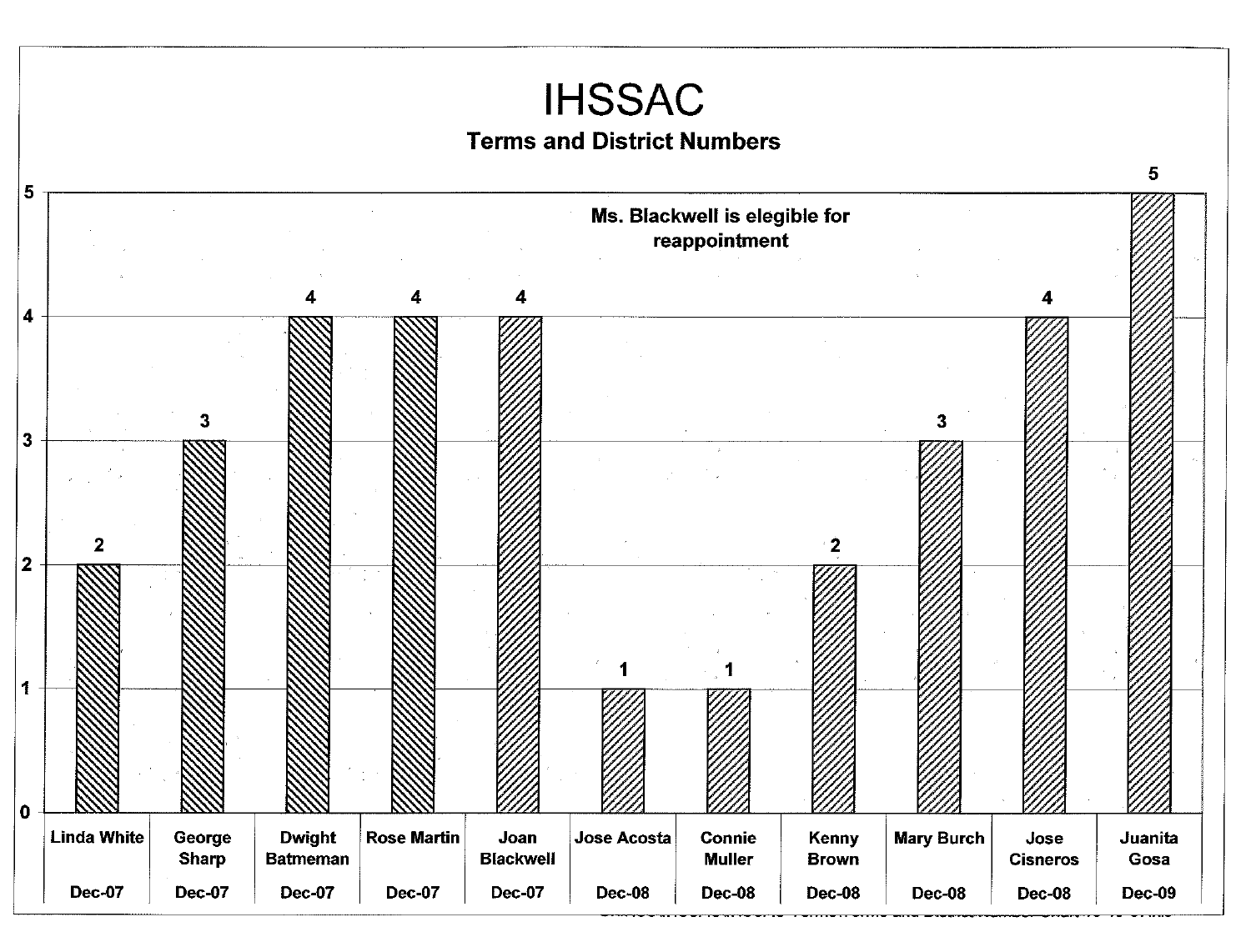